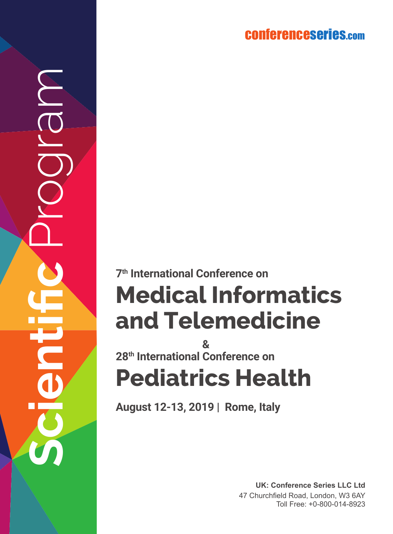### conferenceserie s.co m

**Scientific** Program

 $\widetilde{\overline{\mathbb{O}}}$ 

# **Medical Informatics and Telemedicine Publical Informational Conference on<br>
<b>Pedical Informational Telemedicine**<br> **28<sup>th</sup> International Conference on**<br> **Pediatrics Health**

**28th International Conference on &**

**August 12-13, 2019 | Rome, Italy**

**UK: Conference Series LLC Ltd** 47 Churchfield Road, London, W3 6AY Toll Free: +0-800-014-8923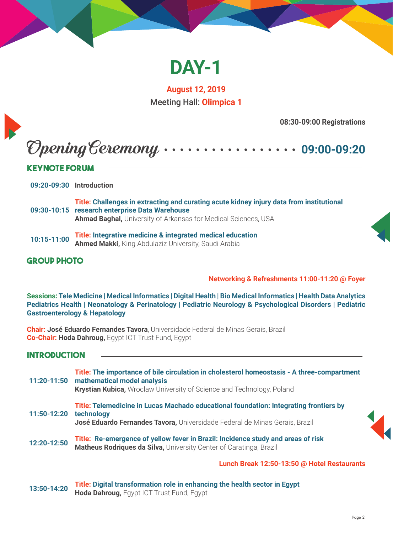

**August 12, 2019** Meeting Hall: **Olimpica 1**

**08:30-09:00 Registrations**

## Opening Ceremony **09:00-09:20**

#### **Keynote Forum**

**09:20-09:30 Introduction**

- **09:30-10:15 research enterprise Data Warehouse Title: Challenges in extracting and curating acute kidney injury data from institutional Ahmad Baghal,** University of Arkansas for Medical Sciences, USA
- **10:15-11:00 Title: Integrative medicine & integrated medical education Ahmed Makki,** King Abdulaziz University, Saudi Arabia

#### **Group Photo**

**Networking & Refreshments 11:00-11:20 @ Foyer** 

**Sessions: Tele Medicine | Medical Informatics | Digital Health | Bio Medical Informatics | Health Data Analytics Pediatrics Health | Neonatology & Perinatology | Pediatric Neurology & Psychological Disorders | Pediatric Gastroenterology & Hepatology** 

**Chair: José Eduardo Fernandes Tavora**, Universidade Federal de Minas Gerais, Brazil **Co-Chair: Hoda Dahroug,** Egypt ICT Trust Fund, Egypt

#### **Introduction**

|             | Title: The importance of bile circulation in cholesterol homeostasis - A three-compartment<br>11:20-11:50 mathematical model analysis<br><b>Krystian Kubica, Wroclaw University of Science and Technology, Poland</b> |  |
|-------------|-----------------------------------------------------------------------------------------------------------------------------------------------------------------------------------------------------------------------|--|
| 11:50-12:20 | Title: Telemedicine in Lucas Machado educational foundation: Integrating frontiers by<br>technology<br>José Eduardo Fernandes Tavora, Universidade Federal de Minas Gerais, Brazil                                    |  |
| 12:20-12:50 | Title: Re-emergence of yellow fever in Brazil: Incidence study and areas of risk<br>Matheus Rodriques da Silva, University Center of Caratinga, Brazil                                                                |  |
|             | Lunch Break 12:50-13:50 @ Hotel Restaurants                                                                                                                                                                           |  |

**13:50-14:20 Title: Digital transformation role in enhancing the health sector in Egypt Hoda Dahroug,** Egypt ICT Trust Fund, Egypt